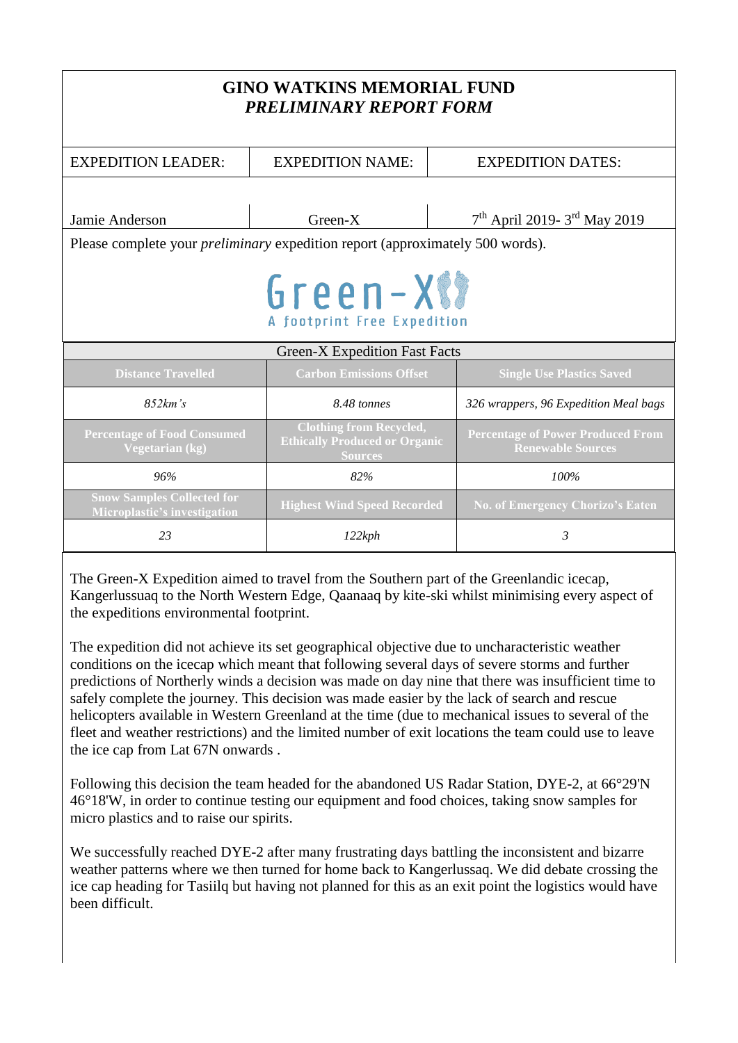| <b>GINO WATKINS MEMORIAL FUND</b><br>PRELIMINARY REPORT FORM                         |                                                                                          |                                                                      |
|--------------------------------------------------------------------------------------|------------------------------------------------------------------------------------------|----------------------------------------------------------------------|
| <b>EXPEDITION LEADER:</b>                                                            | <b>EXPEDITION NAME:</b>                                                                  | <b>EXPEDITION DATES:</b>                                             |
| Jamie Anderson                                                                       | Green-X                                                                                  | 7 <sup>th</sup> April 2019- 3 <sup>rd</sup> May 2019                 |
| Please complete your <i>preliminary</i> expedition report (approximately 500 words). |                                                                                          |                                                                      |
| Green-XXX<br>A footprint Free Expedition                                             |                                                                                          |                                                                      |
| <b>Green-X Expedition Fast Facts</b>                                                 |                                                                                          |                                                                      |
| <b>Distance Travelled</b>                                                            | <b>Carbon Emissions Offset</b>                                                           | <b>Single Use Plastics Saved</b>                                     |
| 852km's                                                                              | 8.48 tonnes                                                                              | 326 wrappers, 96 Expedition Meal bags                                |
| <b>Percentage of Food Consumed</b><br>Vegetarian (kg)                                | <b>Clothing from Recycled,</b><br><b>Ethically Produced or Organic</b><br><b>Sources</b> | <b>Percentage of Power Produced From</b><br><b>Renewable Sources</b> |
| 96%                                                                                  | 82%                                                                                      | 100%                                                                 |
| <b>Snow Samples Collected for</b><br><b>Microplastic's investigation</b>             | <b>Highest Wind Speed Recorded</b>                                                       | <b>No. of Emergency Chorizo's Eaten</b>                              |
| 23                                                                                   | 122kph                                                                                   | 3                                                                    |
|                                                                                      |                                                                                          |                                                                      |

The Green-X Expedition aimed to travel from the Southern part of the Greenlandic icecap, Kangerlussuaq to the North Western Edge, Qaanaaq by kite-ski whilst minimising every aspect of the expeditions environmental footprint.

The expedition did not achieve its set geographical objective due to uncharacteristic weather conditions on the icecap which meant that following several days of severe storms and further predictions of Northerly winds a decision was made on day nine that there was insufficient time to safely complete the journey. This decision was made easier by the lack of search and rescue helicopters available in Western Greenland at the time (due to mechanical issues to several of the fleet and weather restrictions) and the limited number of exit locations the team could use to leave the ice cap from Lat 67N onwards .

Following this decision the team headed for the abandoned US Radar Station, DYE-2, at 66°29'N 46°18'W, in order to continue testing our equipment and food choices, taking snow samples for micro plastics and to raise our spirits.

We successfully reached DYE-2 after many frustrating days battling the inconsistent and bizarre weather patterns where we then turned for home back to Kangerlussaq. We did debate crossing the ice cap heading for Tasiilq but having not planned for this as an exit point the logistics would have been difficult.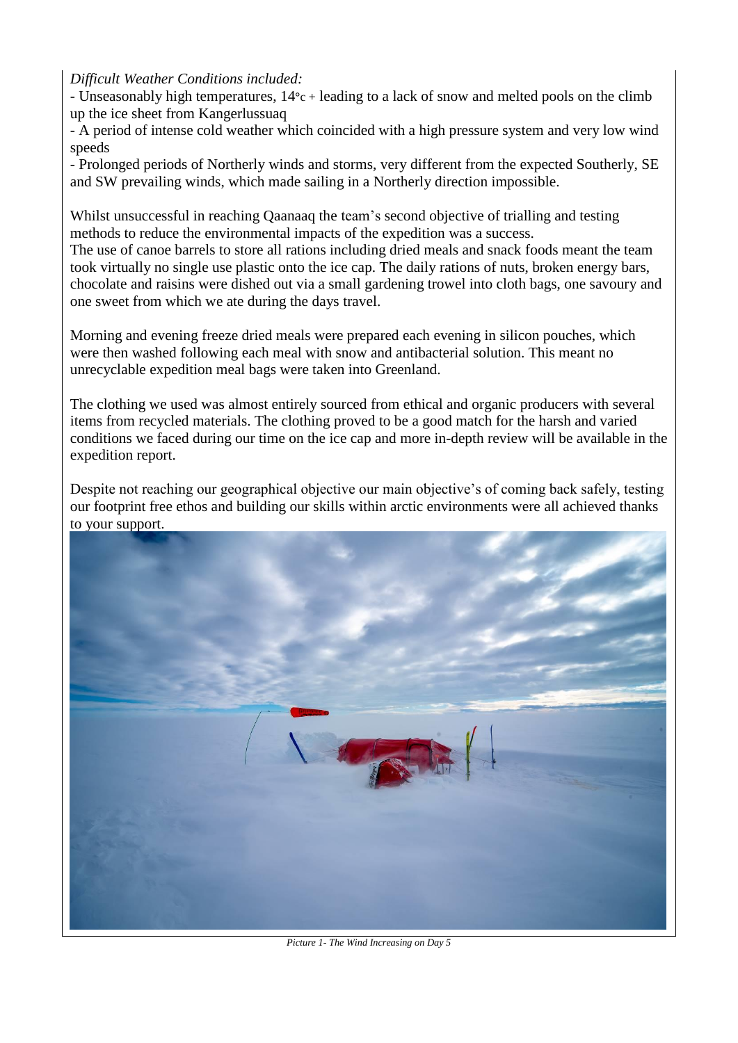*Difficult Weather Conditions included:*

- Unseasonably high temperatures, 14**°**c + leading to a lack of snow and melted pools on the climb up the ice sheet from Kangerlussuaq

- A period of intense cold weather which coincided with a high pressure system and very low wind speeds

- Prolonged periods of Northerly winds and storms, very different from the expected Southerly, SE and SW prevailing winds, which made sailing in a Northerly direction impossible.

Whilst unsuccessful in reaching Qaanaaq the team's second objective of trialling and testing methods to reduce the environmental impacts of the expedition was a success.

The use of canoe barrels to store all rations including dried meals and snack foods meant the team took virtually no single use plastic onto the ice cap. The daily rations of nuts, broken energy bars, chocolate and raisins were dished out via a small gardening trowel into cloth bags, one savoury and one sweet from which we ate during the days travel.

Morning and evening freeze dried meals were prepared each evening in silicon pouches, which were then washed following each meal with snow and antibacterial solution. This meant no unrecyclable expedition meal bags were taken into Greenland.

The clothing we used was almost entirely sourced from ethical and organic producers with several items from recycled materials. The clothing proved to be a good match for the harsh and varied conditions we faced during our time on the ice cap and more in-depth review will be available in the expedition report.

Despite not reaching our geographical objective our main objective's of coming back safely, testing our footprint free ethos and building our skills within arctic environments were all achieved thanks to your support.



*Picture 1- The Wind Increasing on Day 5*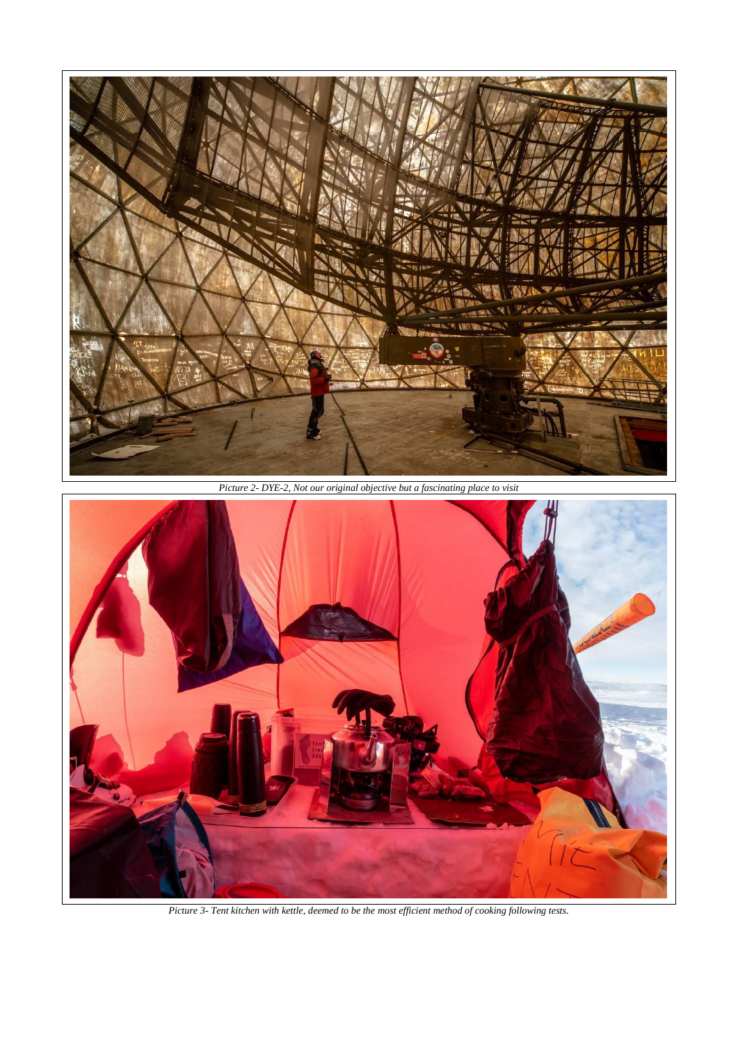

*Picture 2- DYE-2, Not our original objective but a fascinating place to visit*



*Picture 3- Tent kitchen with kettle, deemed to be the most efficient method of cooking following tests.*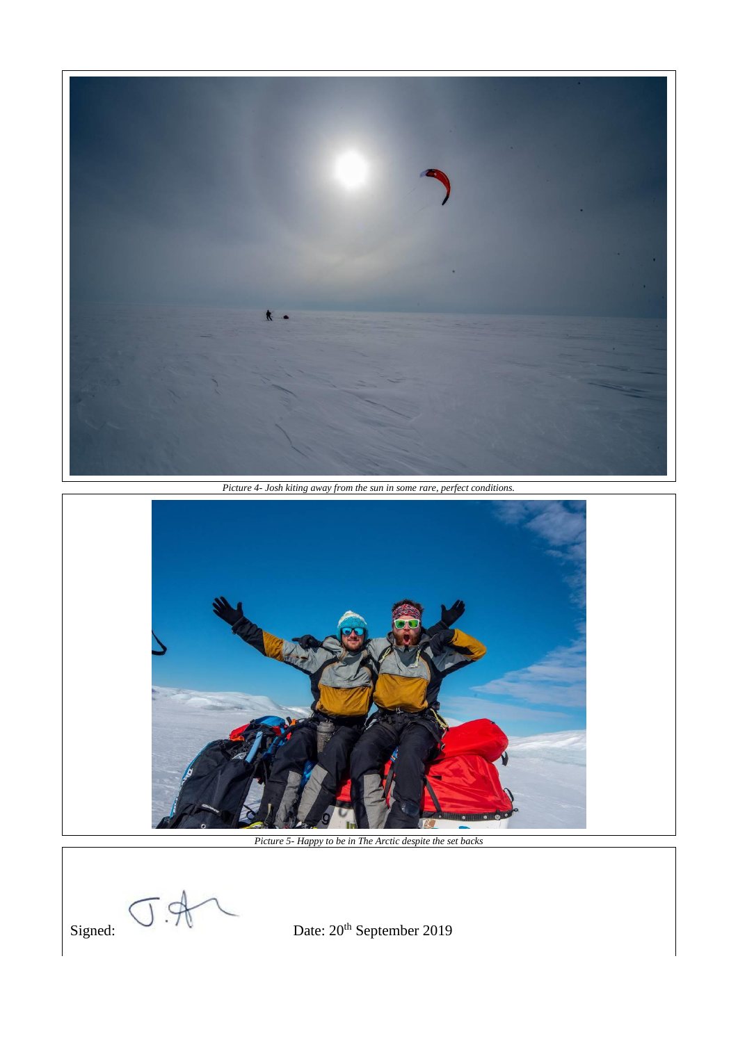

*Picture 4- Josh kiting away from the sun in some rare, perfect conditions.*



*Picture 5- Happy to be in The Arctic despite the set backs*

Signed:  $\nabla \cdot \overline{\mathcal{V}}$  Date:  $20^{\text{th}}$  September 2019